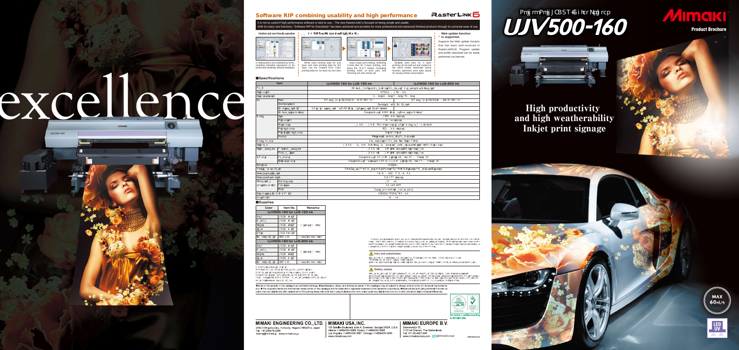

#### **RASTERLINK**



| Supplie |  |
|---------|--|
|---------|--|

•Please note that properties and adhesion, weather resistance etc. of ink and substrates can vary. Therefore please test materials before printing. •Some substrates require primer before printing. Please test materials beforehand or ask your sales representative.

#### Safety notice:

You are dealing with UV light sources that may harm your health. Please follow below guidelines strictly:<br>•Do not look directly into the UV light source nor place your hand, or expose your skin directly to the UV light sou



DB10319-02

#### **MIMAKI EUROPE B.V.**

**Stammerdijk 7E.**<br>Stammerdijk 7E.

1112 AA Diemen, The Netherlands Tel: +31-20-4627-640 www.mimakieurope.com **D** @MimakiEurope

# Roll to Roll LEDUV-Inkjet Printer



**■Specifications**

#### UV curable ink: LUS-200 ( C. M.Y. K. W) UJV500-160 for LUS-200 ink echnology) head (6 printheads with 3 staggered configuration) 297mm ~ 1,610 mm 300dpi、600dpi、900dpi、1,200dpi Supplied by 2L Ink Station d with MDM (Mimaki Degassing Module) 1,620 mm or less 60 kg or less m The thickness in which media can be feeded  $\frac{300 \text{ mm}}{200 \text{ mm}}$ 2-inch 3-inch -direction cutter after head section ay inteligent heater Pre/Print/After figurable by users, automatic recognition of the thickness  $m$  or  $\pm$  0.3% from specified print distance  $nm$  or  $\pm$  0.1% from specified print distance  $\frac{1}{2}$ ith UV LED Lifetiime: about 5,000 hours \*2 scent UV tube lamp Lifetime: about 1,000 hours \*2 USB 2.0 ving, CB Report, UL, RoHS Directive, Machinery Directive AC 200 - 240 V 50/60 H 7.2 kVA or less 15 ℃ - 30 ℃ 35 - 65 %Rh Equivalent to normal  $\alpha$  ce level 3,852X1,977X1,690 mm 800 kg

All trademarks or registered trademarks are the property of their respective owners. Specificationsare subject to change without notice. Some of the screens and printing samples in this catalog are artificial renderings. Inkjet printers print using extremely fine<br>dots, thus colors may vary slightly following replacement of the printing heads. Also n vary slightly among the units due to slight individual differences among the units.

#### $\bigwedge$  Inks and substrates:

\*3 Ink Station is not included in the dimensions and the weight. Every UV ink is sold by the litter. Please put it into the Ink Station. As ink flexibility of LUS-150,LUS-200 may vary according to the substrate

High productivity and high weatherability Inkjet print signage







**LED**<br>UV

| Color                                                                                                                                                                  | Item No.                | Remarks              |  |  |  |  |
|------------------------------------------------------------------------------------------------------------------------------------------------------------------------|-------------------------|----------------------|--|--|--|--|
| <b>UJV500-160 for LUS-150 ink</b>                                                                                                                                      |                         |                      |  |  |  |  |
| Cyan                                                                                                                                                                   | LUS20-C-BA              |                      |  |  |  |  |
| Magenta                                                                                                                                                                | LUS20-M-BA              |                      |  |  |  |  |
| Yellow                                                                                                                                                                 | LUS20-Y-BA              | 1 litter ink bottle  |  |  |  |  |
| <b>Black</b>                                                                                                                                                           | LUS20-K-BA              |                      |  |  |  |  |
| l White                                                                                                                                                                | LUS15-W-BA              |                      |  |  |  |  |
| Ink bottle 2L BK                                                                                                                                                       | SPA-0210                | 1 pcs (empty bottle) |  |  |  |  |
| <b>UJV500-160 for LUS-200 ink</b>                                                                                                                                      |                         |                      |  |  |  |  |
| Cyan                                                                                                                                                                   | LUS20-C-BA              |                      |  |  |  |  |
| Magenta                                                                                                                                                                | LUS20-M-BA              | 1 litter ink bottle  |  |  |  |  |
| <b>Yellow</b>                                                                                                                                                          | LUS20-Y-BA              |                      |  |  |  |  |
| <b>Black</b>                                                                                                                                                           | LUS <sub>20</sub> -K-BA |                      |  |  |  |  |
| Ink bottle 2L BK                                                                                                                                                       | SPA-0210                | 1 pcs (empty bottle) |  |  |  |  |
| *1 MCT works only with white ink.<br>*2 Reference value. There is no quarantee as to the lifetime.<br>*3 Ink Station is not included in the dimensions and the weight. |                         |                      |  |  |  |  |

Supports the Web update function that has been well-received in RasterLinkPro5. Program update and profile download can be easily erformed via internet.

Multiple print jobs for 3 layer printing can be laid out and copied on the same media. Automatic layout function optimizes print data layout ranonon opimineoo pi

| Item                        |                      | <b>UJV500-160 for LUS-150 ink</b>                    |  |
|-----------------------------|----------------------|------------------------------------------------------|--|
| Head                        |                      | On-demand Piezo he                                   |  |
| Print width                 |                      |                                                      |  |
| Print resolution            |                      | 3C                                                   |  |
| lnk                         | <b>Type</b>          | UV curable ink: LUS-150 C M Y K W                    |  |
|                             | Supply system        |                                                      |  |
|                             | Ink Circulation (*1) | White ink circulation by MCT (Mimaki Circulation Teo |  |
|                             | Ink degassing module | E quipped                                            |  |
| Media                       | Size                 |                                                      |  |
|                             | Roll weight          |                                                      |  |
|                             | <b>Thickness</b>     | $0.1$ mm<br>$1 \text{ mm}$                           |  |
|                             | Roll diameter        |                                                      |  |
|                             | Roll inside diameter |                                                      |  |
|                             | Cutter               | Y-d                                                  |  |
| Media heater                |                      | 3-way                                                |  |
| Print gap                   |                      | $1.5$ mm<br>7.0 mm Config                            |  |
| Print accuracy              | Absolute accuracy    | $±$ 0.3 mm                                           |  |
|                             | Repeatability        | $+ 0.2$ mm                                           |  |
| UV unit                     | Head unit            | E quipped with                                       |  |
|                             | Post cure unit       | Equipped with fluoresc                               |  |
| Interface                   |                      |                                                      |  |
| Applicable standard         |                      | VCCI class A, CE Marking                             |  |
| Power specification         |                      |                                                      |  |
| Power consumption           |                      |                                                      |  |
| Operational                 | Temperature          |                                                      |  |
| environment(*3)             | Humidity             |                                                      |  |
|                             | Dust                 | E                                                    |  |
| Dimensions (W X D X H) (*3) |                      |                                                      |  |
| Weight (*3)                 |                      |                                                      |  |

please verify your substrate in advance.

Some of the samples in this catalogue are artificial renderings. Specifications, design and dimensions stated in this catalogue may be subject to change without notice (for technical improvements etc). The corporate names and merchandise names written on this catalogue are the trademark or registered trademark of the respective corporations. Only etc nines such that is ingextremely fine dots, so colors may very sli

#### MIMAKI ENGINEERING CO., LTD. | MIMAKI USA, INC. 2182-3 Shigeno-otsu, Tomi-city, Nagano 389-0512, Japan

Tel: +81-268-78-2288 trading@mimaki.jp www.mimaki.co.jp

150 Satellite Boulevard, suite A, Suwanee, Georgia 30024, U.S.A<br>Atlanta +1-888-530-3988 Boston +1-888-530-3986 Los Angeles +1-888-530-3987 Chicago +1-888-530-3985 www.mimakiusa.com

**Web update function is supported.**

## Software RIP combining usability and high performance

It is not so useful if high performance software is hard to use... The new RasterLink6 is focused on being simple and usable. With its many new functions, "Software RIP for Everybody" has been achieved and provides for more professional and advanced finished products through its universal ease of use.



3 print jobs for 3 layer printing, and press the "<br>printing order of print jobs and<br>printing order of print jobs and<br>mirroring are also easily set.

White color printing data for 2nd

layer and color printing data for 3rd layer can be created from Color printing data for 1st layer by one-click.

#### **Intuitive and user-friendly operation**